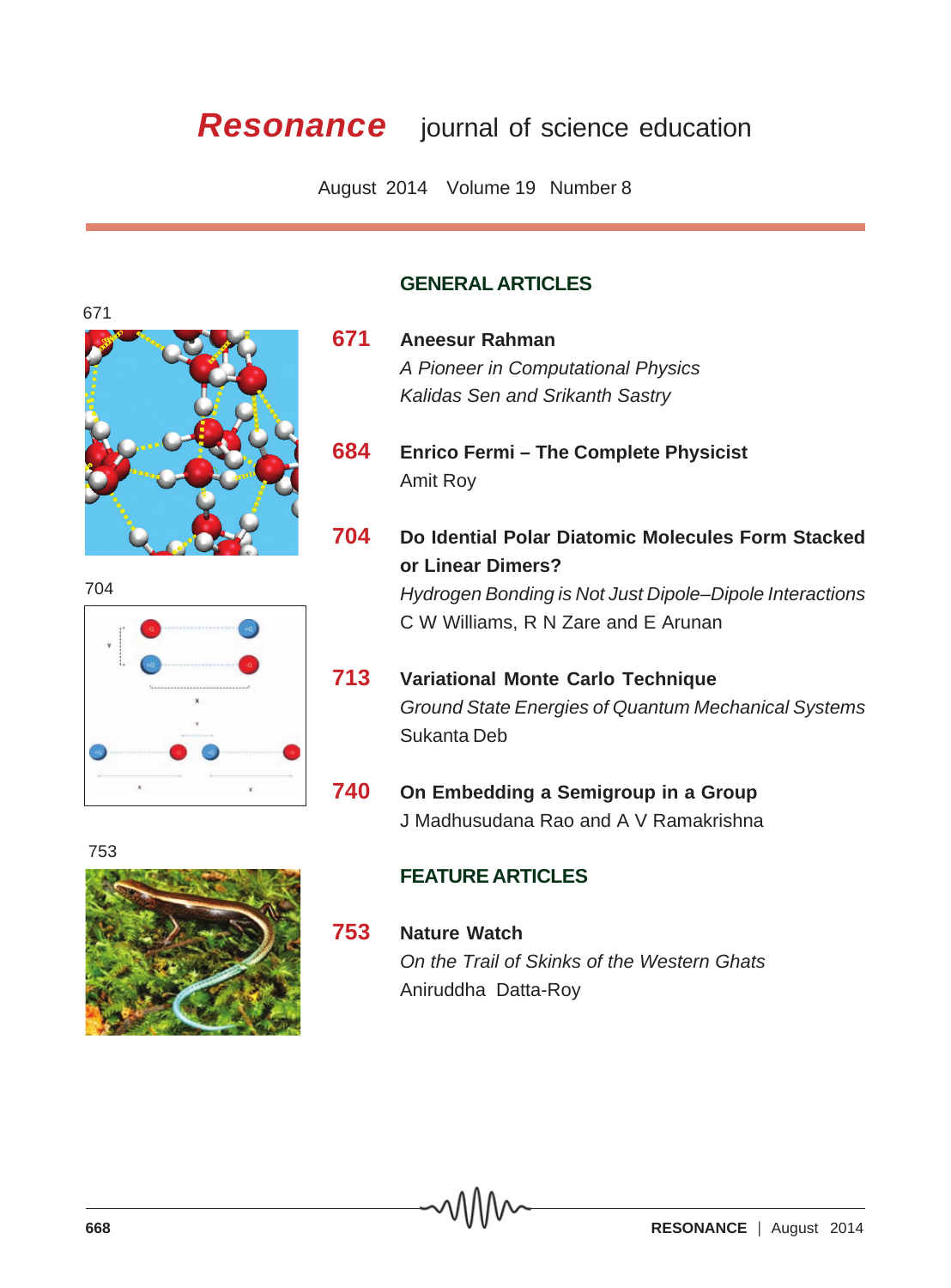## **Resonance** journal of science education

August 2014 Volume 19 Number 8

## **GENERAL ARTICLES**

- **671 Aneesur Rahman** *A Pioneer in Computational Physics Kalidas Sen and Srikanth Sastry*
- **684 Enrico Fermi The Complete Physicist** Amit Roy
- **704 Do Idential Polar Diatomic Molecules Form Stacked or Linear Dimers?** *Hydrogen Bonding is Not Just Dipole–Dipole Interactions* C W Williams, R N Zare and E Arunan
- **713 Variational Monte Carlo Technique** *Ground State Energies of Quantum Mechanical Systems* Sukanta Deb
- **740 On Embedding a Semigroup in a Group** J Madhusudana Rao and A V Ramakrishna

## **FEATURE ARTICLES**

**753 Nature Watch** *On the Trail of Skinks of the Western Ghats* Aniruddha Datta-Roy



753

**668 RESONANCE**  $\vert$  August 2014